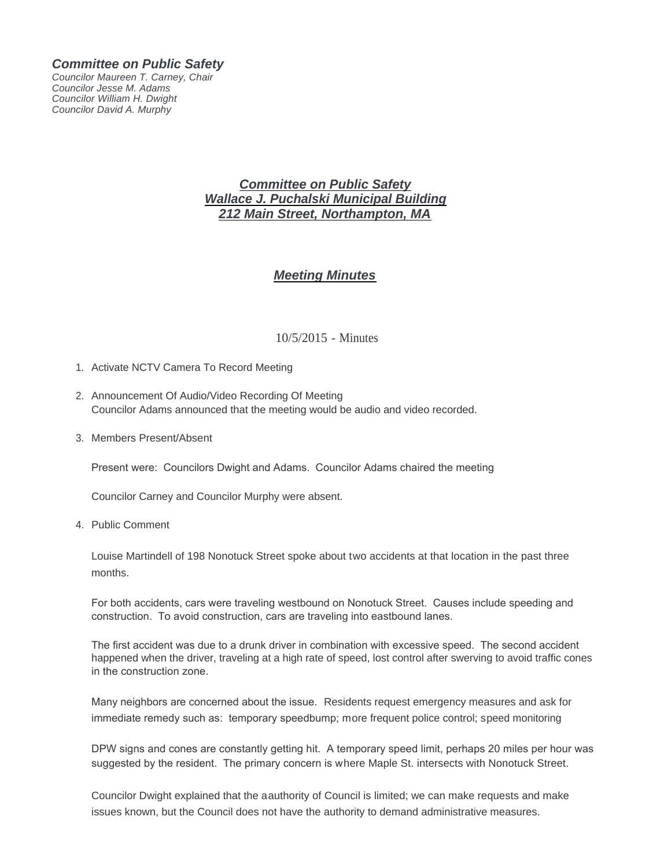## *Committee on Public Safety*

*Councilor Maureen T. Carney, Chair Councilor Jesse M. Adams Councilor William H. Dwight Councilor David A. Murphy*

## *Committee on Public Safety Wallace J. Puchalski Municipal Building 212 Main Street, Northampton, MA*

## *Meeting Minutes*

## 10/5/2015 - Minutes

- 1. Activate NCTV Camera To Record Meeting
- 2. Announcement Of Audio/Video Recording Of Meeting Councilor Adams announced that the meeting would be audio and video recorded.
- 3. Members Present/Absent

Present were: Councilors Dwight and Adams. Councilor Adams chaired the meeting

Councilor Carney and Councilor Murphy were absent.

4. Public Comment

Louise Martindell of 198 Nonotuck Street spoke about two accidents at that location in the past three months.

For both accidents, cars were traveling westbound on Nonotuck Street. Causes include speeding and construction. To avoid construction, cars are traveling into eastbound lanes.

The first accident was due to a drunk driver in combination with excessive speed. The second accident happened when the driver, traveling at a high rate of speed, lost control after swerving to avoid traffic cones in the construction zone.

Many neighbors are concerned about the issue. Residents request emergency measures and ask for immediate remedy such as: temporary speedbump; more frequent police control; speed monitoring

DPW signs and cones are constantly getting hit. A temporary speed limit, perhaps 20 miles per hour was suggested by the resident. The primary concern is where Maple St. intersects with Nonotuck Street.

Councilor Dwight explained that the aauthority of Council is limited; we can make requests and make issues known, but the Council does not have the authority to demand administrative measures.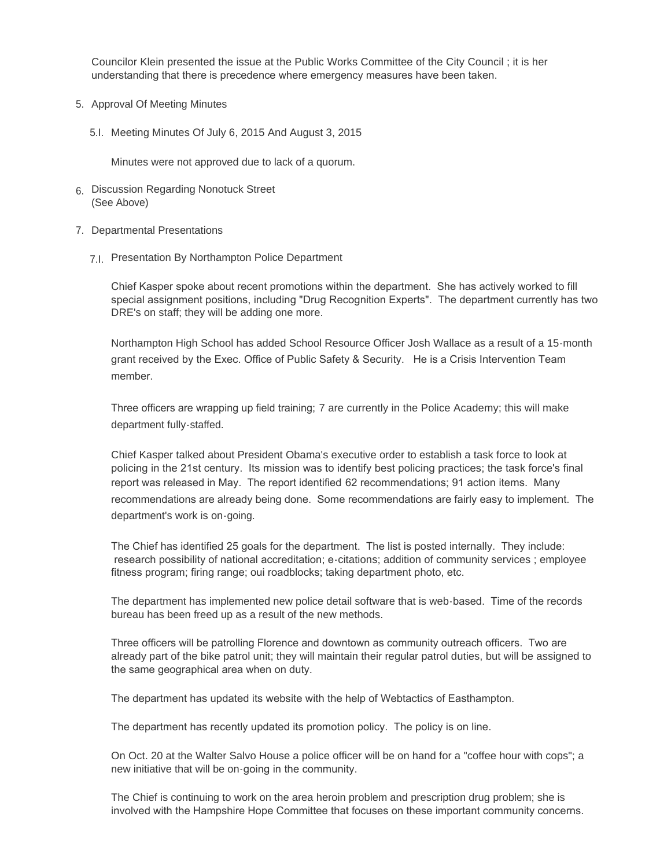Councilor Klein presented the issue at the Public Works Committee of the City Council ; it is her understanding that there is precedence where emergency measures have been taken.

- 5. Approval Of Meeting Minutes
	- 5.I. Meeting Minutes Of July 6, 2015 And August 3, 2015

Minutes were not approved due to lack of a quorum.

- Discussion Regarding Nonotuck Street 6. (See Above)
- 7. Departmental Presentations
	- 7.I. Presentation By Northampton Police Department

Chief Kasper spoke about recent promotions within the department. She has actively worked to fill special assignment positions, including "Drug Recognition Experts". The department currently has two DRE's on staff; they will be adding one more.

Northampton High School has added School Resource Officer Josh Wallace as a result of a 15-month grant received by the Exec. Office of Public Safety & Security. He is a Crisis Intervention Team member.

Three officers are wrapping up field training; 7 are currently in the Police Academy; this will make department fully-staffed.

Chief Kasper talked about President Obama's executive order to establish a task force to look at policing in the 21st century. Its mission was to identify best policing practices; the task force's final report was released in May. The report identified 62 recommendations; 91 action items. Many recommendations are already being done. Some recommendations are fairly easy to implement. The department's work is on-going.

The Chief has identified 25 goals for the department. The list is posted internally. They include: research possibility of national accreditation; e-citations; addition of community services ; employee fitness program; firing range; oui roadblocks; taking department photo, etc.

The department has implemented new police detail software that is web-based. Time of the records bureau has been freed up as a result of the new methods.

Three officers will be patrolling Florence and downtown as community outreach officers. Two are already part of the bike patrol unit; they will maintain their regular patrol duties, but will be assigned to the same geographical area when on duty.

The department has updated its website with the help of Webtactics of Easthampton.

The department has recently updated its promotion policy. The policy is on line.

On Oct. 20 at the Walter Salvo House a police officer will be on hand for a "coffee hour with cops"; a new initiative that will be on-going in the community.

The Chief is continuing to work on the area heroin problem and prescription drug problem; she is involved with the Hampshire Hope Committee that focuses on these important community concerns.